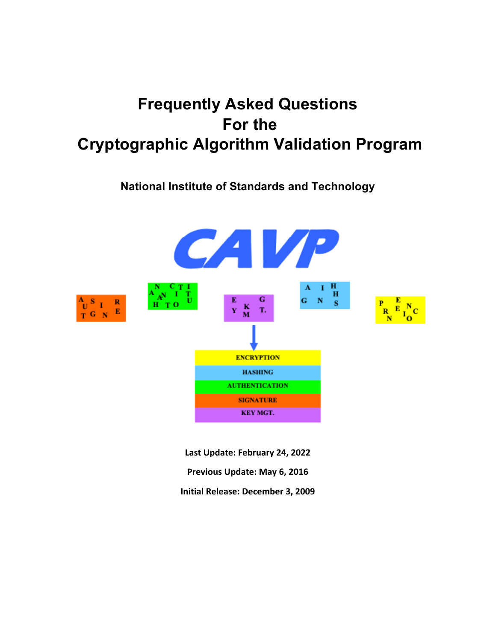# **Frequently Asked Questions For the Cryptographic Algorithm Validation Program**

## **National Institute of Standards and Technology**



**Last Update: February 24, 2022 Previous Update: May 6, 2016 Initial Release: December 3, 2009**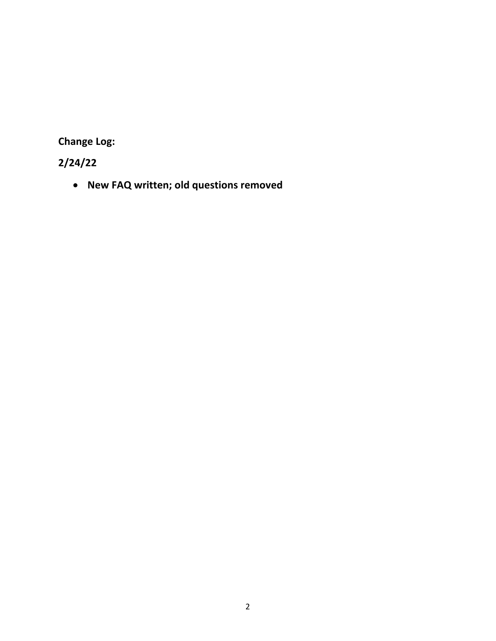**Change Log:**

## **2/24/22**

• **New FAQ written; old questions removed**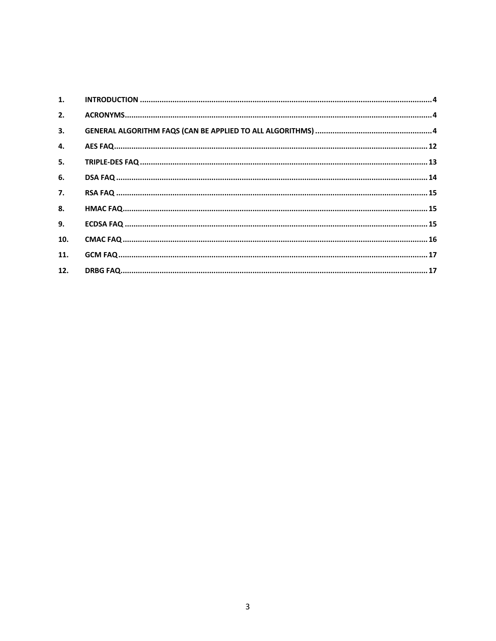| 1.  |  |
|-----|--|
| 2.  |  |
| 3.  |  |
| 4.  |  |
| 5.  |  |
| 6.  |  |
| 7.  |  |
| 8.  |  |
| 9.  |  |
| 10. |  |
| 11. |  |
| 12. |  |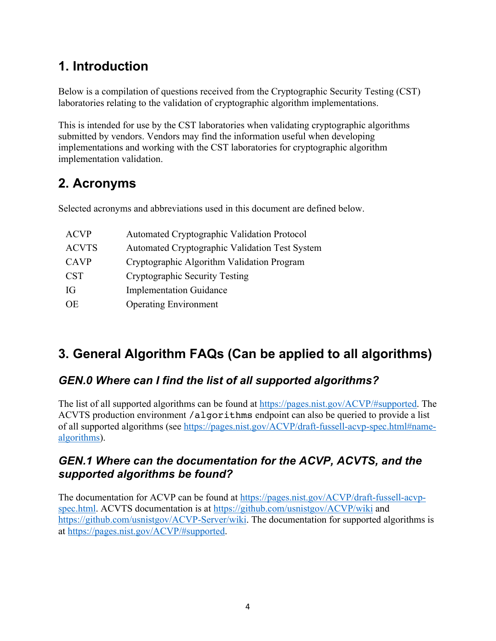## **1. Introduction**

Below is a compilation of questions received from the Cryptographic Security Testing (CST) laboratories relating to the validation of cryptographic algorithm implementations.

This is intended for use by the CST laboratories when validating cryptographic algorithms submitted by vendors. Vendors may find the information useful when developing implementations and working with the CST laboratories for cryptographic algorithm implementation validation.

## **2. Acronyms**

Selected acronyms and abbreviations used in this document are defined below.

| <b>ACVP</b>  | <b>Automated Cryptographic Validation Protocol</b> |
|--------------|----------------------------------------------------|
| <b>ACVTS</b> | Automated Cryptographic Validation Test System     |
| <b>CAVP</b>  | Cryptographic Algorithm Validation Program         |
| <b>CST</b>   | Cryptographic Security Testing                     |
| IG           | <b>Implementation Guidance</b>                     |
| OE           | <b>Operating Environment</b>                       |
|              |                                                    |

## **3. General Algorithm FAQs (Can be applied to all algorithms)**

## *GEN.0 Where can I find the list of all supported algorithms?*

The list of all supported algorithms can be found at https://pages.nist.gov/ACVP/#supported. The ACVTS production environment /algorithms endpoint can also be queried to provide a list of all supported algorithms (see https://pages.nist.gov/ACVP/draft-fussell-acvp-spec.html#namealgorithms).

## *GEN.1 Where can the documentation for the ACVP, ACVTS, and the supported algorithms be found?*

The documentation for ACVP can be found at https://pages.nist.gov/ACVP/draft-fussell-acvpspec.html. ACVTS documentation is at https://github.com/usnistgov/ACVP/wiki and https://github.com/usnistgov/ACVP-Server/wiki. The documentation for supported algorithms is at https://pages.nist.gov/ACVP/#supported.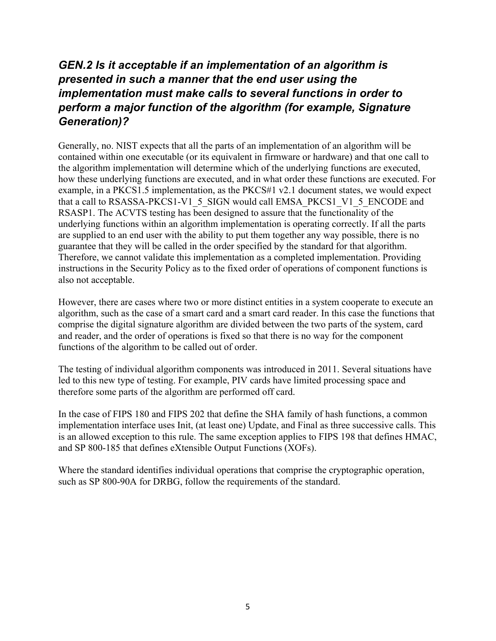## *GEN.2 Is it acceptable if an implementation of an algorithm is presented in such a manner that the end user using the implementation must make calls to several functions in order to perform a major function of the algorithm (for example, Signature Generation)?*

Generally, no. NIST expects that all the parts of an implementation of an algorithm will be contained within one executable (or its equivalent in firmware or hardware) and that one call to the algorithm implementation will determine which of the underlying functions are executed, how these underlying functions are executed, and in what order these functions are executed. For example, in a PKCS1.5 implementation, as the PKCS#1 v2.1 document states, we would expect that a call to RSASSA-PKCS1-V1\_5\_SIGN would call EMSA\_PKCS1\_V1\_5\_ENCODE and RSASP1. The ACVTS testing has been designed to assure that the functionality of the underlying functions within an algorithm implementation is operating correctly. If all the parts are supplied to an end user with the ability to put them together any way possible, there is no guarantee that they will be called in the order specified by the standard for that algorithm. Therefore, we cannot validate this implementation as a completed implementation. Providing instructions in the Security Policy as to the fixed order of operations of component functions is also not acceptable.

However, there are cases where two or more distinct entities in a system cooperate to execute an algorithm, such as the case of a smart card and a smart card reader. In this case the functions that comprise the digital signature algorithm are divided between the two parts of the system, card and reader, and the order of operations is fixed so that there is no way for the component functions of the algorithm to be called out of order.

The testing of individual algorithm components was introduced in 2011. Several situations have led to this new type of testing. For example, PIV cards have limited processing space and therefore some parts of the algorithm are performed off card.

In the case of FIPS 180 and FIPS 202 that define the SHA family of hash functions, a common implementation interface uses Init, (at least one) Update, and Final as three successive calls. This is an allowed exception to this rule. The same exception applies to FIPS 198 that defines HMAC, and SP 800-185 that defines eXtensible Output Functions (XOFs).

Where the standard identifies individual operations that comprise the cryptographic operation, such as SP 800-90A for DRBG, follow the requirements of the standard.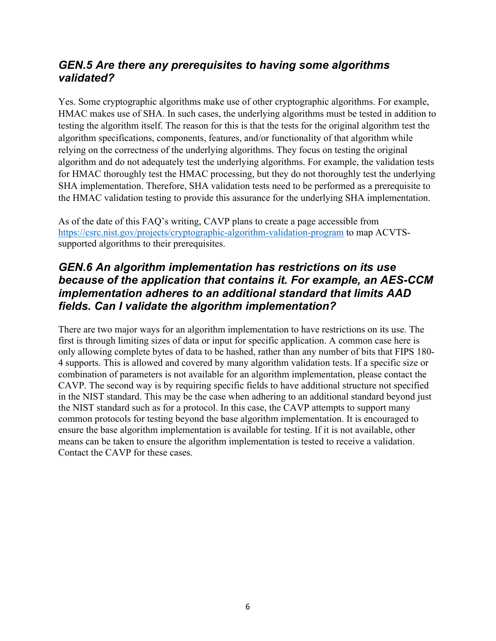### *GEN.5 Are there any prerequisites to having some algorithms validated?*

Yes. Some cryptographic algorithms make use of other cryptographic algorithms. For example, HMAC makes use of SHA. In such cases, the underlying algorithms must be tested in addition to testing the algorithm itself. The reason for this is that the tests for the original algorithm test the algorithm specifications, components, features, and/or functionality of that algorithm while relying on the correctness of the underlying algorithms. They focus on testing the original algorithm and do not adequately test the underlying algorithms. For example, the validation tests for HMAC thoroughly test the HMAC processing, but they do not thoroughly test the underlying SHA implementation. Therefore, SHA validation tests need to be performed as a prerequisite to the HMAC validation testing to provide this assurance for the underlying SHA implementation.

As of the date of this FAQ's writing, CAVP plans to create a page accessible from https://csrc.nist.gov/projects/cryptographic-algorithm-validation-program to map ACVTSsupported algorithms to their prerequisites.

### *GEN.6 An algorithm implementation has restrictions on its use because of the application that contains it. For example, an AES-CCM implementation adheres to an additional standard that limits AAD fields. Can I validate the algorithm implementation?*

There are two major ways for an algorithm implementation to have restrictions on its use. The first is through limiting sizes of data or input for specific application. A common case here is only allowing complete bytes of data to be hashed, rather than any number of bits that FIPS 180- 4 supports. This is allowed and covered by many algorithm validation tests. If a specific size or combination of parameters is not available for an algorithm implementation, please contact the CAVP. The second way is by requiring specific fields to have additional structure not specified in the NIST standard. This may be the case when adhering to an additional standard beyond just the NIST standard such as for a protocol. In this case, the CAVP attempts to support many common protocols for testing beyond the base algorithm implementation. It is encouraged to ensure the base algorithm implementation is available for testing. If it is not available, other means can be taken to ensure the algorithm implementation is tested to receive a validation. Contact the CAVP for these cases.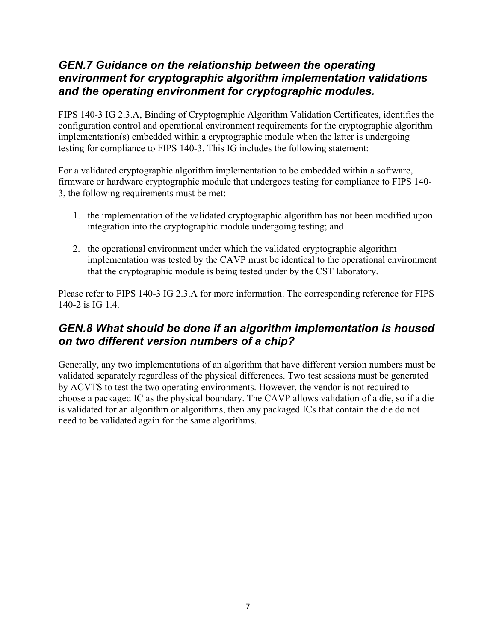#### *GEN.7 Guidance on the relationship between the operating environment for cryptographic algorithm implementation validations and the operating environment for cryptographic modules.*

FIPS 140-3 IG 2.3.A, Binding of Cryptographic Algorithm Validation Certificates, identifies the configuration control and operational environment requirements for the cryptographic algorithm implementation(s) embedded within a cryptographic module when the latter is undergoing testing for compliance to FIPS 140-3. This IG includes the following statement:

For a validated cryptographic algorithm implementation to be embedded within a software, firmware or hardware cryptographic module that undergoes testing for compliance to FIPS 140- 3, the following requirements must be met:

- 1. the implementation of the validated cryptographic algorithm has not been modified upon integration into the cryptographic module undergoing testing; and
- 2. the operational environment under which the validated cryptographic algorithm implementation was tested by the CAVP must be identical to the operational environment that the cryptographic module is being tested under by the CST laboratory.

Please refer to FIPS 140-3 IG 2.3.A for more information. The corresponding reference for FIPS 140-2 is IG 1.4.

## *GEN.8 What should be done if an algorithm implementation is housed on two different version numbers of a chip?*

Generally, any two implementations of an algorithm that have different version numbers must be validated separately regardless of the physical differences. Two test sessions must be generated by ACVTS to test the two operating environments. However, the vendor is not required to choose a packaged IC as the physical boundary. The CAVP allows validation of a die, so if a die is validated for an algorithm or algorithms, then any packaged ICs that contain the die do not need to be validated again for the same algorithms.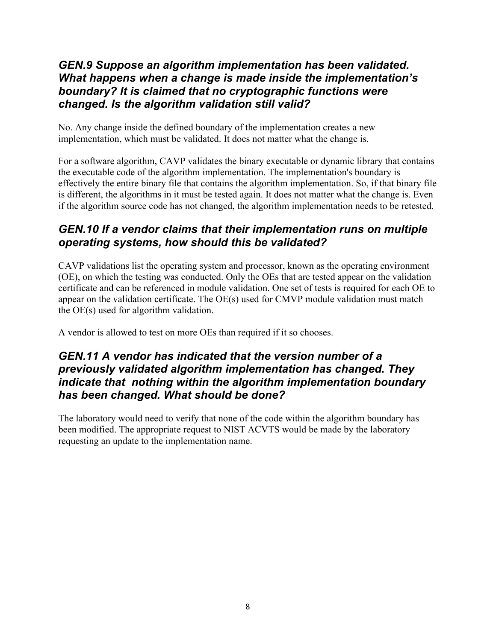### *GEN.9 Suppose an algorithm implementation has been validated. What happens when a change is made inside the implementation's boundary? It is claimed that no cryptographic functions were changed. Is the algorithm validation still valid?*

No. Any change inside the defined boundary of the implementation creates a new implementation, which must be validated. It does not matter what the change is.

For a software algorithm, CAVP validates the binary executable or dynamic library that contains the executable code of the algorithm implementation. The implementation's boundary is effectively the entire binary file that contains the algorithm implementation. So, if that binary file is different, the algorithms in it must be tested again. It does not matter what the change is. Even if the algorithm source code has not changed, the algorithm implementation needs to be retested.

## *GEN.10 If a vendor claims that their implementation runs on multiple operating systems, how should this be validated?*

CAVP validations list the operating system and processor, known as the operating environment (OE), on which the testing was conducted. Only the OEs that are tested appear on the validation certificate and can be referenced in module validation. One set of tests is required for each OE to appear on the validation certificate. The OE(s) used for CMVP module validation must match the OE(s) used for algorithm validation.

A vendor is allowed to test on more OEs than required if it so chooses.

### *GEN.11 A vendor has indicated that the version number of a previously validated algorithm implementation has changed. They indicate that nothing within the algorithm implementation boundary has been changed. What should be done?*

The laboratory would need to verify that none of the code within the algorithm boundary has been modified. The appropriate request to NIST ACVTS would be made by the laboratory requesting an update to the implementation name.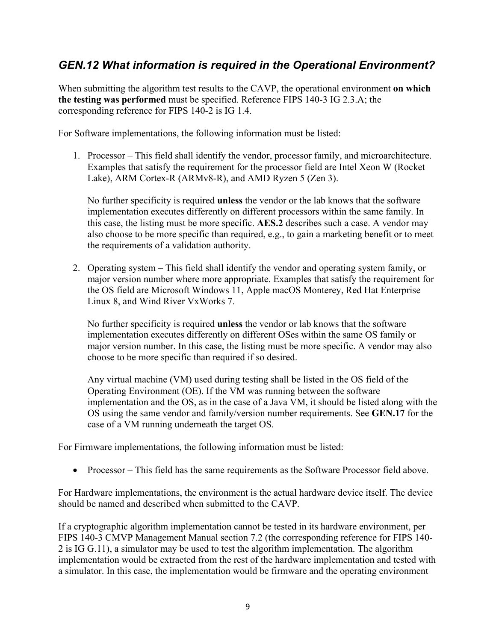## *GEN.12 What information is required in the Operational Environment?*

When submitting the algorithm test results to the CAVP, the operational environment **on which the testing was performed** must be specified. Reference FIPS 140-3 IG 2.3.A; the corresponding reference for FIPS 140-2 is IG 1.4.

For Software implementations, the following information must be listed:

1. Processor – This field shall identify the vendor, processor family, and microarchitecture. Examples that satisfy the requirement for the processor field are Intel Xeon W (Rocket Lake), ARM Cortex-R (ARMv8-R), and AMD Ryzen 5 (Zen 3).

No further specificity is required **unless** the vendor or the lab knows that the software implementation executes differently on different processors within the same family. In this case, the listing must be more specific. **AES.2** describes such a case. A vendor may also choose to be more specific than required, e.g., to gain a marketing benefit or to meet the requirements of a validation authority.

2. Operating system – This field shall identify the vendor and operating system family, or major version number where more appropriate. Examples that satisfy the requirement for the OS field are Microsoft Windows 11, Apple macOS Monterey, Red Hat Enterprise Linux 8, and Wind River VxWorks 7.

No further specificity is required **unless** the vendor or lab knows that the software implementation executes differently on different OSes within the same OS family or major version number. In this case, the listing must be more specific. A vendor may also choose to be more specific than required if so desired.

Any virtual machine (VM) used during testing shall be listed in the OS field of the Operating Environment (OE). If the VM was running between the software implementation and the OS, as in the case of a Java VM, it should be listed along with the OS using the same vendor and family/version number requirements. See **GEN.17** for the case of a VM running underneath the target OS.

For Firmware implementations, the following information must be listed:

• Processor – This field has the same requirements as the Software Processor field above.

For Hardware implementations, the environment is the actual hardware device itself. The device should be named and described when submitted to the CAVP.

If a cryptographic algorithm implementation cannot be tested in its hardware environment, per FIPS 140-3 CMVP Management Manual section 7.2 (the corresponding reference for FIPS 140- 2 is IG G.11), a simulator may be used to test the algorithm implementation. The algorithm implementation would be extracted from the rest of the hardware implementation and tested with a simulator. In this case, the implementation would be firmware and the operating environment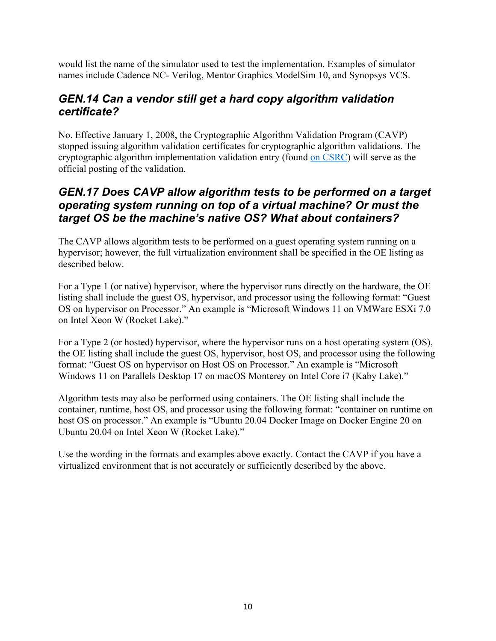would list the name of the simulator used to test the implementation. Examples of simulator names include Cadence NC- Verilog, Mentor Graphics ModelSim 10, and Synopsys VCS.

### *GEN.14 Can a vendor still get a hard copy algorithm validation certificate?*

No. Effective January 1, 2008, the Cryptographic Algorithm Validation Program (CAVP) stopped issuing algorithm validation certificates for cryptographic algorithm validations. The cryptographic algorithm implementation validation entry (found on CSRC) will serve as the official posting of the validation.

#### *GEN.17 Does CAVP allow algorithm tests to be performed on a target operating system running on top of a virtual machine? Or must the target OS be the machine's native OS? What about containers?*

The CAVP allows algorithm tests to be performed on a guest operating system running on a hypervisor; however, the full virtualization environment shall be specified in the OE listing as described below.

For a Type 1 (or native) hypervisor, where the hypervisor runs directly on the hardware, the OE listing shall include the guest OS, hypervisor, and processor using the following format: "Guest OS on hypervisor on Processor." An example is "Microsoft Windows 11 on VMWare ESXi 7.0 on Intel Xeon W (Rocket Lake)."

For a Type 2 (or hosted) hypervisor, where the hypervisor runs on a host operating system (OS), the OE listing shall include the guest OS, hypervisor, host OS, and processor using the following format: "Guest OS on hypervisor on Host OS on Processor." An example is "Microsoft Windows 11 on Parallels Desktop 17 on macOS Monterey on Intel Core i7 (Kaby Lake)."

Algorithm tests may also be performed using containers. The OE listing shall include the container, runtime, host OS, and processor using the following format: "container on runtime on host OS on processor." An example is "Ubuntu 20.04 Docker Image on Docker Engine 20 on Ubuntu 20.04 on Intel Xeon W (Rocket Lake)."

Use the wording in the formats and examples above exactly. Contact the CAVP if you have a virtualized environment that is not accurately or sufficiently described by the above.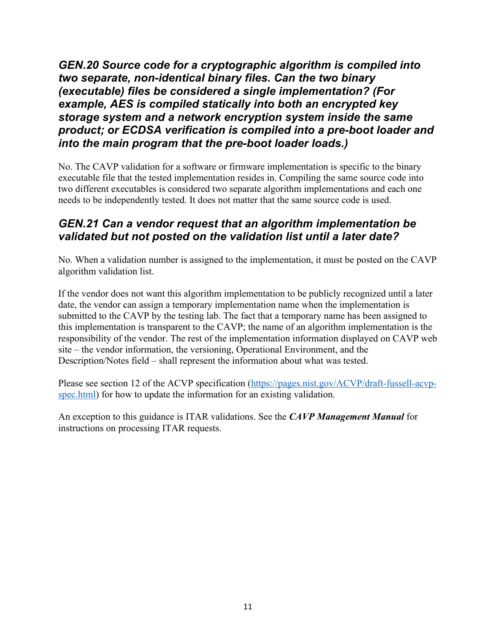*GEN.20 Source code for a cryptographic algorithm is compiled into two separate, non-identical binary files. Can the two binary (executable) files be considered a single implementation? (For example, AES is compiled statically into both an encrypted key storage system and a network encryption system inside the same product; or ECDSA verification is compiled into a pre-boot loader and into the main program that the pre-boot loader loads.)* 

No. The CAVP validation for a software or firmware implementation is specific to the binary executable file that the tested implementation resides in. Compiling the same source code into two different executables is considered two separate algorithm implementations and each one needs to be independently tested. It does not matter that the same source code is used.

### *GEN.21 Can a vendor request that an algorithm implementation be validated but not posted on the validation list until a later date?*

No. When a validation number is assigned to the implementation, it must be posted on the CAVP algorithm validation list.

If the vendor does not want this algorithm implementation to be publicly recognized until a later date, the vendor can assign a temporary implementation name when the implementation is submitted to the CAVP by the testing lab. The fact that a temporary name has been assigned to this implementation is transparent to the CAVP; the name of an algorithm implementation is the responsibility of the vendor. The rest of the implementation information displayed on CAVP web site – the vendor information, the versioning, Operational Environment, and the Description/Notes field – shall represent the information about what was tested.

Please see section 12 of the ACVP specification (https://pages.nist.gov/ACVP/draft-fussell-acvpspec.html) for how to update the information for an existing validation.

An exception to this guidance is ITAR validations. See the *CAVP Management Manual* for instructions on processing ITAR requests.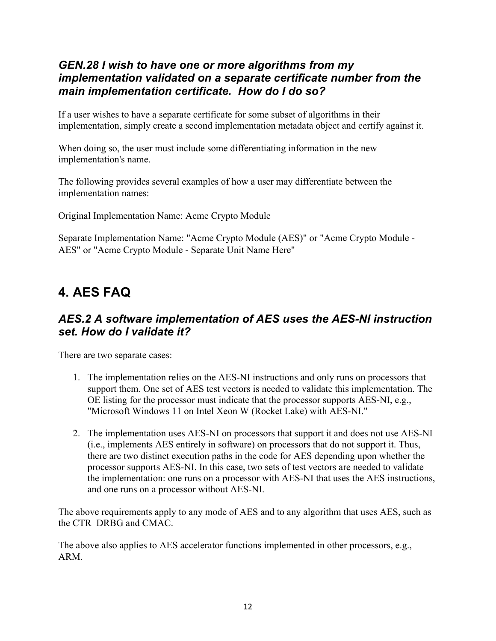#### *GEN.28 I wish to have one or more algorithms from my implementation validated on a separate certificate number from the main implementation certificate. How do I do so?*

If a user wishes to have a separate certificate for some subset of algorithms in their implementation, simply create a second implementation metadata object and certify against it.

When doing so, the user must include some differentiating information in the new implementation's name.

The following provides several examples of how a user may differentiate between the implementation names:

Original Implementation Name: Acme Crypto Module

Separate Implementation Name: "Acme Crypto Module (AES)" or "Acme Crypto Module - AES" or "Acme Crypto Module - Separate Unit Name Here"

## **4. AES FAQ**

### *AES.2 A software implementation of AES uses the AES-NI instruction set. How do I validate it?*

There are two separate cases:

- 1. The implementation relies on the AES-NI instructions and only runs on processors that support them. One set of AES test vectors is needed to validate this implementation. The OE listing for the processor must indicate that the processor supports AES-NI, e.g., "Microsoft Windows 11 on Intel Xeon W (Rocket Lake) with AES-NI."
- 2. The implementation uses AES-NI on processors that support it and does not use AES-NI (i.e., implements AES entirely in software) on processors that do not support it. Thus, there are two distinct execution paths in the code for AES depending upon whether the processor supports AES-NI. In this case, two sets of test vectors are needed to validate the implementation: one runs on a processor with AES-NI that uses the AES instructions, and one runs on a processor without AES-NI.

The above requirements apply to any mode of AES and to any algorithm that uses AES, such as the CTR\_DRBG and CMAC.

The above also applies to AES accelerator functions implemented in other processors, e.g., ARM.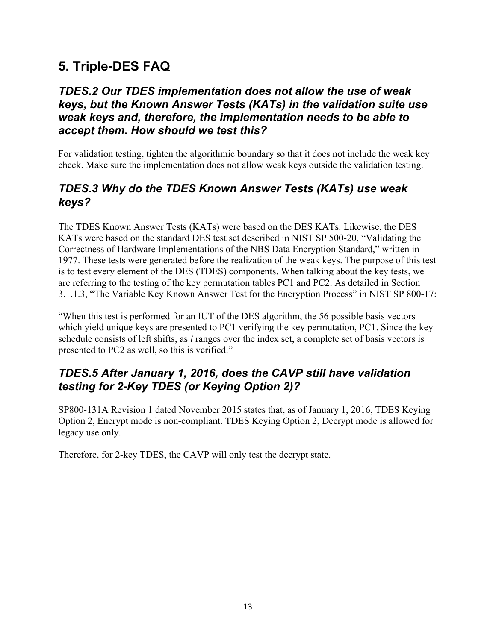## **5. Triple-DES FAQ**

### *TDES.2 Our TDES implementation does not allow the use of weak keys, but the Known Answer Tests (KATs) in the validation suite use weak keys and, therefore, the implementation needs to be able to accept them. How should we test this?*

For validation testing, tighten the algorithmic boundary so that it does not include the weak key check. Make sure the implementation does not allow weak keys outside the validation testing.

## *TDES.3 Why do the TDES Known Answer Tests (KATs) use weak keys?*

The TDES Known Answer Tests (KATs) were based on the DES KATs. Likewise, the DES KATs were based on the standard DES test set described in NIST SP 500-20, "Validating the Correctness of Hardware Implementations of the NBS Data Encryption Standard," written in 1977. These tests were generated before the realization of the weak keys. The purpose of this test is to test every element of the DES (TDES) components. When talking about the key tests, we are referring to the testing of the key permutation tables PC1 and PC2. As detailed in Section 3.1.1.3, "The Variable Key Known Answer Test for the Encryption Process" in NIST SP 800-17:

"When this test is performed for an IUT of the DES algorithm, the 56 possible basis vectors which yield unique keys are presented to PC1 verifying the key permutation, PC1. Since the key schedule consists of left shifts, as *i* ranges over the index set, a complete set of basis vectors is presented to PC2 as well, so this is verified."

## *TDES.5 After January 1, 2016, does the CAVP still have validation testing for 2-Key TDES (or Keying Option 2)?*

SP800-131A Revision 1 dated November 2015 states that, as of January 1, 2016, TDES Keying Option 2, Encrypt mode is non-compliant. TDES Keying Option 2, Decrypt mode is allowed for legacy use only.

Therefore, for 2-key TDES, the CAVP will only test the decrypt state.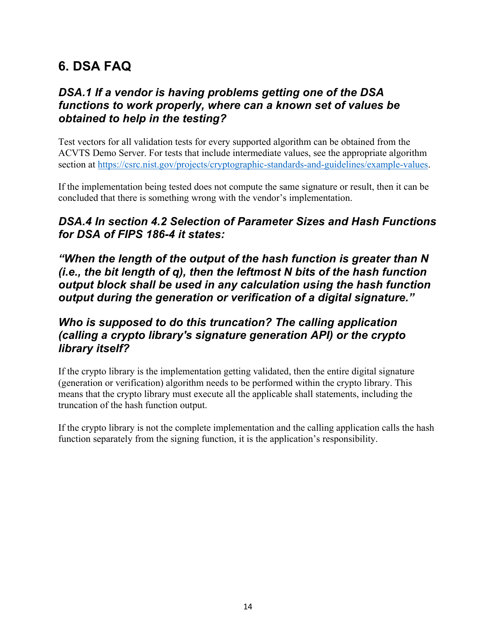## **6. DSA FAQ**

## *DSA.1 If a vendor is having problems getting one of the DSA functions to work properly, where can a known set of values be obtained to help in the testing?*

Test vectors for all validation tests for every supported algorithm can be obtained from the ACVTS Demo Server. For tests that include intermediate values, see the appropriate algorithm section at https://csrc.nist.gov/projects/cryptographic-standards-and-guidelines/example-values.

If the implementation being tested does not compute the same signature or result, then it can be concluded that there is something wrong with the vendor's implementation.

## *DSA.4 In section 4.2 Selection of Parameter Sizes and Hash Functions for DSA of FIPS 186-4 it states:*

*"When the length of the output of the hash function is greater than N (i.e., the bit length of q), then the leftmost N bits of the hash function output block shall be used in any calculation using the hash function output during the generation or verification of a digital signature."*

## *Who is supposed to do this truncation? The calling application (calling a crypto library's signature generation API) or the crypto library itself?*

If the crypto library is the implementation getting validated, then the entire digital signature (generation or verification) algorithm needs to be performed within the crypto library. This means that the crypto library must execute all the applicable shall statements, including the truncation of the hash function output.

If the crypto library is not the complete implementation and the calling application calls the hash function separately from the signing function, it is the application's responsibility.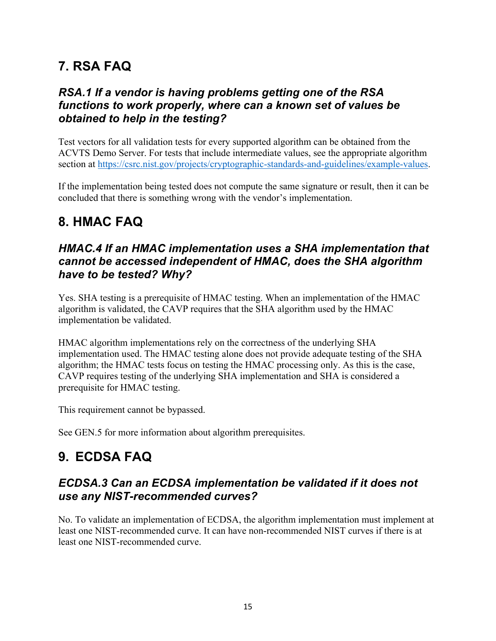## **7. RSA FAQ**

## *RSA.1 If a vendor is having problems getting one of the RSA functions to work properly, where can a known set of values be obtained to help in the testing?*

Test vectors for all validation tests for every supported algorithm can be obtained from the ACVTS Demo Server. For tests that include intermediate values, see the appropriate algorithm section at https://csrc.nist.gov/projects/cryptographic-standards-and-guidelines/example-values.

If the implementation being tested does not compute the same signature or result, then it can be concluded that there is something wrong with the vendor's implementation.

## **8. HMAC FAQ**

## *HMAC.4 If an HMAC implementation uses a SHA implementation that cannot be accessed independent of HMAC, does the SHA algorithm have to be tested? Why?*

Yes. SHA testing is a prerequisite of HMAC testing. When an implementation of the HMAC algorithm is validated, the CAVP requires that the SHA algorithm used by the HMAC implementation be validated.

HMAC algorithm implementations rely on the correctness of the underlying SHA implementation used. The HMAC testing alone does not provide adequate testing of the SHA algorithm; the HMAC tests focus on testing the HMAC processing only. As this is the case, CAVP requires testing of the underlying SHA implementation and SHA is considered a prerequisite for HMAC testing.

This requirement cannot be bypassed.

See GEN.5 for more information about algorithm prerequisites.

## **9. ECDSA FAQ**

## *ECDSA.3 Can an ECDSA implementation be validated if it does not use any NIST-recommended curves?*

No. To validate an implementation of ECDSA, the algorithm implementation must implement at least one NIST-recommended curve. It can have non-recommended NIST curves if there is at least one NIST-recommended curve.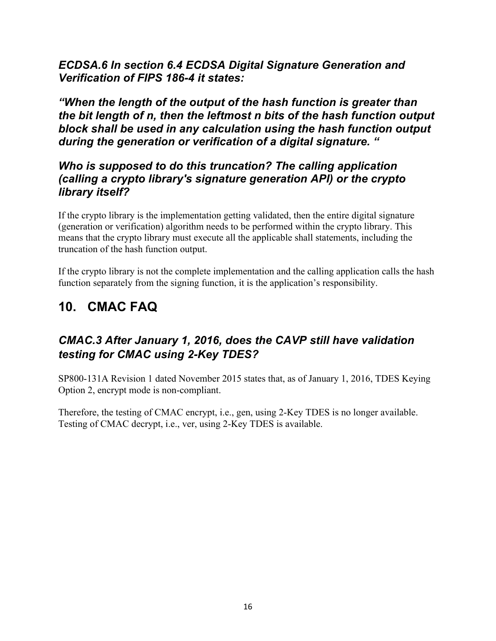*ECDSA.6 In section 6.4 ECDSA Digital Signature Generation and Verification of FIPS 186-4 it states:* 

*"When the length of the output of the hash function is greater than the bit length of n, then the leftmost n bits of the hash function output block shall be used in any calculation using the hash function output during the generation or verification of a digital signature. "* 

#### *Who is supposed to do this truncation? The calling application (calling a crypto library's signature generation API) or the crypto library itself?*

If the crypto library is the implementation getting validated, then the entire digital signature (generation or verification) algorithm needs to be performed within the crypto library. This means that the crypto library must execute all the applicable shall statements, including the truncation of the hash function output.

If the crypto library is not the complete implementation and the calling application calls the hash function separately from the signing function, it is the application's responsibility.

## **10. CMAC FAQ**

## *CMAC.3 After January 1, 2016, does the CAVP still have validation testing for CMAC using 2-Key TDES?*

SP800-131A Revision 1 dated November 2015 states that, as of January 1, 2016, TDES Keying Option 2, encrypt mode is non-compliant.

Therefore, the testing of CMAC encrypt, i.e., gen, using 2-Key TDES is no longer available. Testing of CMAC decrypt, i.e., ver, using 2-Key TDES is available.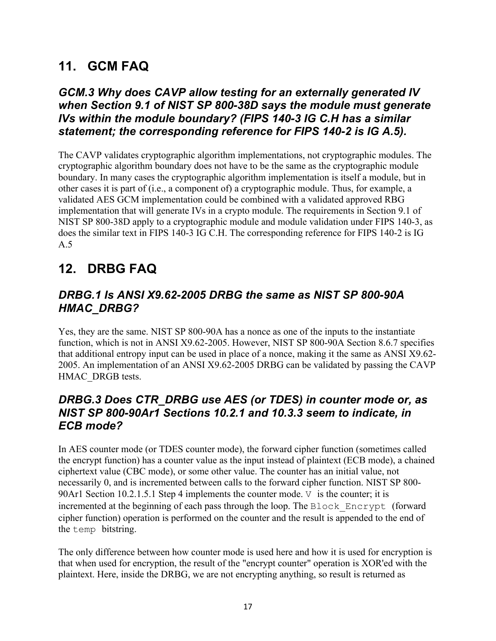## **11. GCM FAQ**

### *GCM.3 Why does CAVP allow testing for an externally generated IV when Section 9.1 of NIST SP 800-38D says the module must generate IVs within the module boundary? (FIPS 140-3 IG C.H has a similar statement; the corresponding reference for FIPS 140-2 is IG A.5).*

The CAVP validates cryptographic algorithm implementations, not cryptographic modules. The cryptographic algorithm boundary does not have to be the same as the cryptographic module boundary. In many cases the cryptographic algorithm implementation is itself a module, but in other cases it is part of (i.e., a component of) a cryptographic module. Thus, for example, a validated AES GCM implementation could be combined with a validated approved RBG implementation that will generate IVs in a crypto module. The requirements in Section 9.1 of NIST SP 800-38D apply to a cryptographic module and module validation under FIPS 140-3, as does the similar text in FIPS 140-3 IG C.H. The corresponding reference for FIPS 140-2 is IG A.5

## **12. DRBG FAQ**

## *DRBG.1 Is ANSI X9.62-2005 DRBG the same as NIST SP 800-90A HMAC\_DRBG?*

Yes, they are the same. NIST SP 800-90A has a nonce as one of the inputs to the instantiate function, which is not in ANSI X9.62-2005. However, NIST SP 800-90A Section 8.6.7 specifies that additional entropy input can be used in place of a nonce, making it the same as ANSI X9.62- 2005. An implementation of an ANSI X9.62-2005 DRBG can be validated by passing the CAVP HMAC\_DRGB tests.

## *DRBG.3 Does CTR\_DRBG use AES (or TDES) in counter mode or, as NIST SP 800-90Ar1 Sections 10.2.1 and 10.3.3 seem to indicate, in ECB mode?*

In AES counter mode (or TDES counter mode), the forward cipher function (sometimes called the encrypt function) has a counter value as the input instead of plaintext (ECB mode), a chained ciphertext value (CBC mode), or some other value. The counter has an initial value, not necessarily 0, and is incremented between calls to the forward cipher function. NIST SP 800- 90Ar1 Section 10.2.1.5.1 Step 4 implements the counter mode.  $\nabla$  is the counter; it is incremented at the beginning of each pass through the loop. The Block\_Encrypt (forward cipher function) operation is performed on the counter and the result is appended to the end of the temp bitstring.

The only difference between how counter mode is used here and how it is used for encryption is that when used for encryption, the result of the "encrypt counter" operation is XOR'ed with the plaintext. Here, inside the DRBG, we are not encrypting anything, so result is returned as